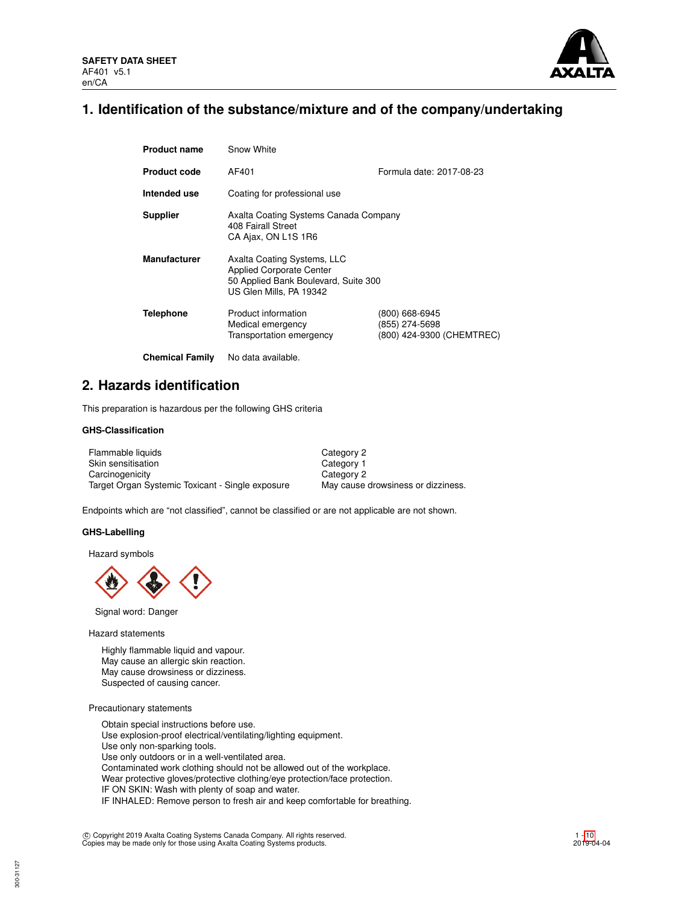

## **1. Identification of the substance/mixture and of the company/undertaking**

| <b>Product name</b>    | Snow White                                                                                                                        |                                                               |  |  |
|------------------------|-----------------------------------------------------------------------------------------------------------------------------------|---------------------------------------------------------------|--|--|
| <b>Product code</b>    | AF401                                                                                                                             | Formula date: 2017-08-23                                      |  |  |
| Intended use           | Coating for professional use                                                                                                      |                                                               |  |  |
| <b>Supplier</b>        | Axalta Coating Systems Canada Company<br>408 Fairall Street<br>CA Ajax, ON L1S 1R6                                                |                                                               |  |  |
| <b>Manufacturer</b>    | Axalta Coating Systems, LLC<br><b>Applied Corporate Center</b><br>50 Applied Bank Boulevard, Suite 300<br>US Glen Mills, PA 19342 |                                                               |  |  |
| <b>Telephone</b>       | Product information<br>Medical emergency<br>Transportation emergency                                                              | (800) 668-6945<br>(855) 274-5698<br>(800) 424-9300 (CHEMTREC) |  |  |
| <b>Chemical Family</b> | No data available.                                                                                                                |                                                               |  |  |

## **2. Hazards identification**

This preparation is hazardous per the following GHS criteria

## **GHS-Classification**

| Flammable liquids                                | Category 2                         |
|--------------------------------------------------|------------------------------------|
| Skin sensitisation                               | Category 1                         |
| Carcinogenicity                                  | Category 2                         |
| Target Organ Systemic Toxicant - Single exposure | May cause drowsiness or dizziness. |

Endpoints which are "not classified", cannot be classified or are not applicable are not shown.

#### **GHS-Labelling**

Hazard symbols



Signal word: Danger

Hazard statements

Highly flammable liquid and vapour. May cause an allergic skin reaction. May cause drowsiness or dizziness. Suspected of causing cancer.

### Precautionary statements

300-31127

Obtain special instructions before use. Use explosion-proof electrical/ventilating/lighting equipment. Use only non-sparking tools. Use only outdoors or in a well-ventilated area. Contaminated work clothing should not be allowed out of the workplace. Wear protective gloves/protective clothing/eye protection/face protection. IF ON SKIN: Wash with plenty of soap and water. IF INHALED: Remove person to fresh air and keep comfortable for breathing.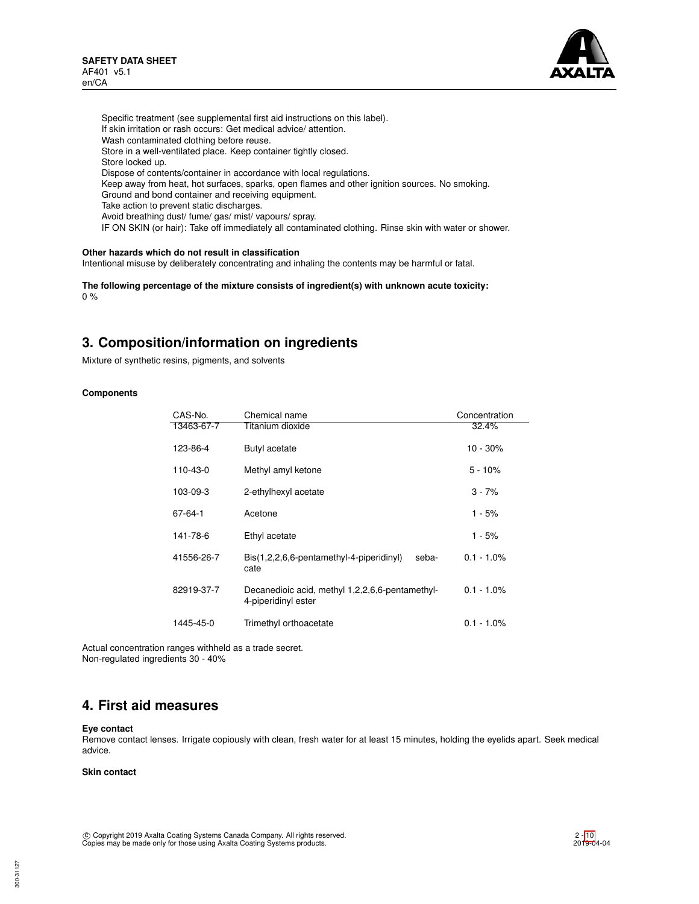

Specific treatment (see supplemental first aid instructions on this label). If skin irritation or rash occurs: Get medical advice/ attention. Wash contaminated clothing before reuse. Store in a well-ventilated place. Keep container tightly closed. Store locked up. Dispose of contents/container in accordance with local regulations. Keep away from heat, hot surfaces, sparks, open flames and other ignition sources. No smoking. Ground and bond container and receiving equipment. Take action to prevent static discharges. Avoid breathing dust/ fume/ gas/ mist/ vapours/ spray. IF ON SKIN (or hair): Take off immediately all contaminated clothing. Rinse skin with water or shower.

## **Other hazards which do not result in classification**

Intentional misuse by deliberately concentrating and inhaling the contents may be harmful or fatal.

**The following percentage of the mixture consists of ingredient(s) with unknown acute toxicity:** 0 %

## **3. Composition/information on ingredients**

Mixture of synthetic resins, pigments, and solvents

### **Components**

| CAS-No.    | Chemical name                                                          | Concentration |
|------------|------------------------------------------------------------------------|---------------|
| 13463-67-7 | Titanium dioxide                                                       | 32.4%         |
| 123-86-4   | Butyl acetate                                                          | $10 - 30\%$   |
| 110-43-0   | Methyl amyl ketone                                                     | $5 - 10%$     |
| 103-09-3   | 2-ethylhexyl acetate                                                   | $3 - 7%$      |
| 67-64-1    | Acetone                                                                | 1 - 5%        |
| 141-78-6   | Ethyl acetate                                                          | 1 - 5%        |
| 41556-26-7 | Bis(1,2,2,6,6-pentamethyl-4-piperidinyl)<br>seba-<br>cate              | $0.1 - 1.0\%$ |
| 82919-37-7 | Decanedioic acid, methyl 1,2,2,6,6-pentamethyl-<br>4-piperidinyl ester | $0.1 - 1.0\%$ |
| 1445-45-0  | Trimethyl orthoacetate                                                 | $0.1 - 1.0\%$ |

Actual concentration ranges withheld as a trade secret. Non-regulated ingredients 30 - 40%

## **4. First aid measures**

#### **Eye contact**

Remove contact lenses. Irrigate copiously with clean, fresh water for at least 15 minutes, holding the eyelids apart. Seek medical advice.

### **Skin contact**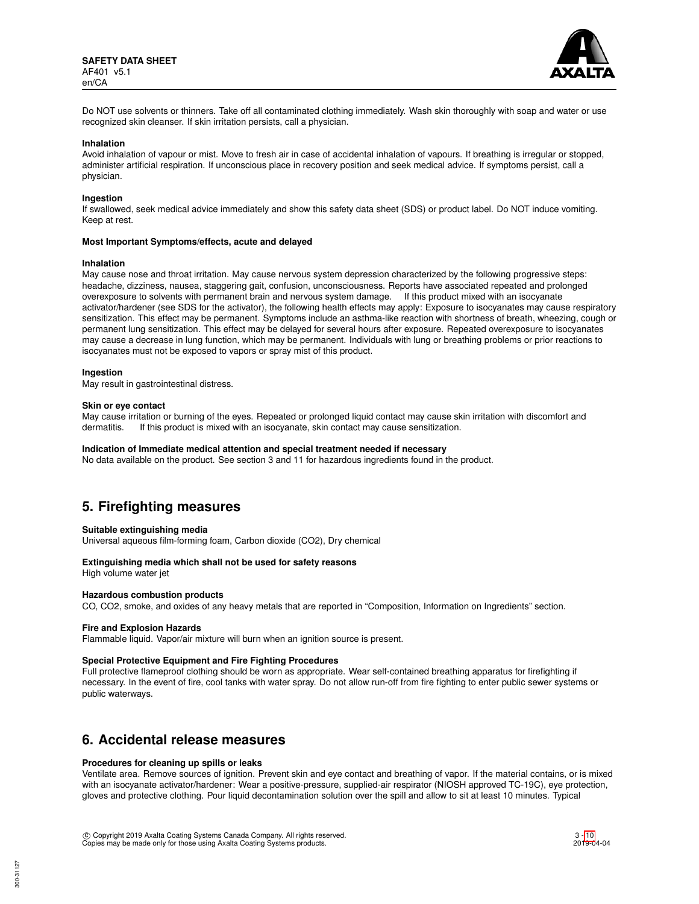

Do NOT use solvents or thinners. Take off all contaminated clothing immediately. Wash skin thoroughly with soap and water or use recognized skin cleanser. If skin irritation persists, call a physician.

#### **Inhalation**

Avoid inhalation of vapour or mist. Move to fresh air in case of accidental inhalation of vapours. If breathing is irregular or stopped, administer artificial respiration. If unconscious place in recovery position and seek medical advice. If symptoms persist, call a physician.

#### **Ingestion**

If swallowed, seek medical advice immediately and show this safety data sheet (SDS) or product label. Do NOT induce vomiting. Keep at rest.

#### **Most Important Symptoms/effects, acute and delayed**

#### **Inhalation**

May cause nose and throat irritation. May cause nervous system depression characterized by the following progressive steps: headache, dizziness, nausea, staggering gait, confusion, unconsciousness. Reports have associated repeated and prolonged overexposure to solvents with permanent brain and nervous system damage. If this product mixed with an isocyanate activator/hardener (see SDS for the activator), the following health effects may apply: Exposure to isocyanates may cause respiratory sensitization. This effect may be permanent. Symptoms include an asthma-like reaction with shortness of breath, wheezing, cough or permanent lung sensitization. This effect may be delayed for several hours after exposure. Repeated overexposure to isocyanates may cause a decrease in lung function, which may be permanent. Individuals with lung or breathing problems or prior reactions to isocyanates must not be exposed to vapors or spray mist of this product.

#### **Ingestion**

May result in gastrointestinal distress.

#### **Skin or eye contact**

May cause irritation or burning of the eyes. Repeated or prolonged liquid contact may cause skin irritation with discomfort and dermatitis. If this product is mixed with an isocyanate, skin contact may cause sensitization.

#### **Indication of Immediate medical attention and special treatment needed if necessary**

No data available on the product. See section 3 and 11 for hazardous ingredients found in the product.

## **5. Firefighting measures**

#### **Suitable extinguishing media**

Universal aqueous film-forming foam, Carbon dioxide (CO2), Dry chemical

### **Extinguishing media which shall not be used for safety reasons**

High volume water jet

## **Hazardous combustion products**

CO, CO2, smoke, and oxides of any heavy metals that are reported in "Composition, Information on Ingredients" section.

#### **Fire and Explosion Hazards**

Flammable liquid. Vapor/air mixture will burn when an ignition source is present.

#### **Special Protective Equipment and Fire Fighting Procedures**

Full protective flameproof clothing should be worn as appropriate. Wear self-contained breathing apparatus for firefighting if necessary. In the event of fire, cool tanks with water spray. Do not allow run-off from fire fighting to enter public sewer systems or public waterways.

## **6. Accidental release measures**

#### **Procedures for cleaning up spills or leaks**

Ventilate area. Remove sources of ignition. Prevent skin and eye contact and breathing of vapor. If the material contains, or is mixed with an isocyanate activator/hardener: Wear a positive-pressure, supplied-air respirator (NIOSH approved TC-19C), eye protection, gloves and protective clothing. Pour liquid decontamination solution over the spill and allow to sit at least 10 minutes. Typical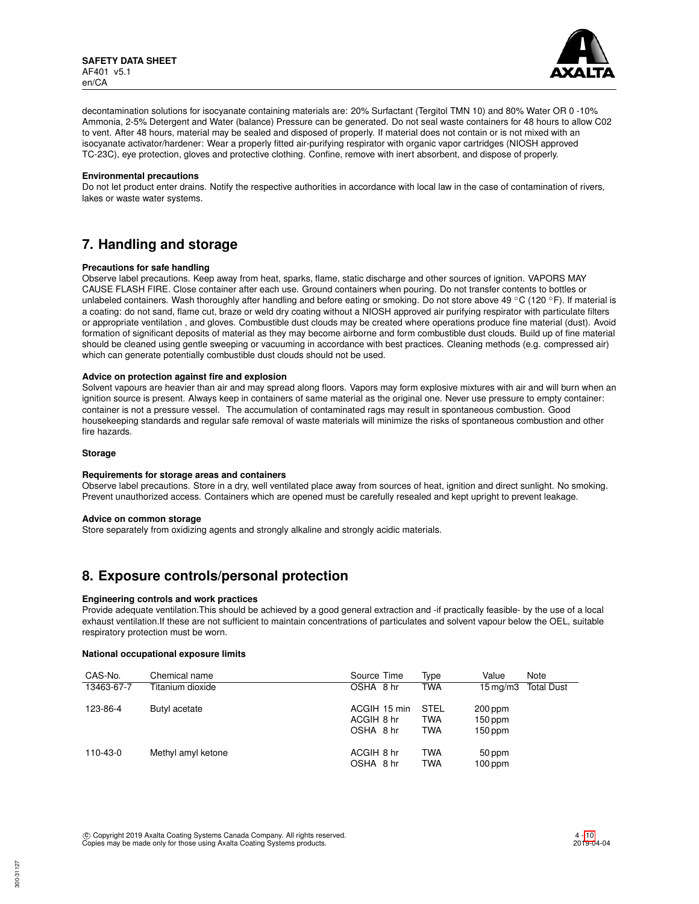

decontamination solutions for isocyanate containing materials are: 20% Surfactant (Tergitol TMN 10) and 80% Water OR 0 -10% Ammonia, 2-5% Detergent and Water (balance) Pressure can be generated. Do not seal waste containers for 48 hours to allow C02 to vent. After 48 hours, material may be sealed and disposed of properly. If material does not contain or is not mixed with an isocyanate activator/hardener: Wear a properly fitted air-purifying respirator with organic vapor cartridges (NIOSH approved TC-23C), eye protection, gloves and protective clothing. Confine, remove with inert absorbent, and dispose of properly.

#### **Environmental precautions**

Do not let product enter drains. Notify the respective authorities in accordance with local law in the case of contamination of rivers, lakes or waste water systems.

## **7. Handling and storage**

### **Precautions for safe handling**

Observe label precautions. Keep away from heat, sparks, flame, static discharge and other sources of ignition. VAPORS MAY CAUSE FLASH FIRE. Close container after each use. Ground containers when pouring. Do not transfer contents to bottles or unlabeled containers. Wash thoroughly after handling and before eating or smoking. Do not store above 49 °C (120 °F). If material is a coating: do not sand, flame cut, braze or weld dry coating without a NIOSH approved air purifying respirator with particulate filters or appropriate ventilation , and gloves. Combustible dust clouds may be created where operations produce fine material (dust). Avoid formation of significant deposits of material as they may become airborne and form combustible dust clouds. Build up of fine material should be cleaned using gentle sweeping or vacuuming in accordance with best practices. Cleaning methods (e.g. compressed air) which can generate potentially combustible dust clouds should not be used.

## **Advice on protection against fire and explosion**

Solvent vapours are heavier than air and may spread along floors. Vapors may form explosive mixtures with air and will burn when an ignition source is present. Always keep in containers of same material as the original one. Never use pressure to empty container: container is not a pressure vessel. The accumulation of contaminated rags may result in spontaneous combustion. Good housekeeping standards and regular safe removal of waste materials will minimize the risks of spontaneous combustion and other fire hazards.

#### **Storage**

#### **Requirements for storage areas and containers**

Observe label precautions. Store in a dry, well ventilated place away from sources of heat, ignition and direct sunlight. No smoking. Prevent unauthorized access. Containers which are opened must be carefully resealed and kept upright to prevent leakage.

#### **Advice on common storage**

Store separately from oxidizing agents and strongly alkaline and strongly acidic materials.

## **8. Exposure controls/personal protection**

## **Engineering controls and work practices**

Provide adequate ventilation.This should be achieved by a good general extraction and -if practically feasible- by the use of a local exhaust ventilation.If these are not sufficient to maintain concentrations of particulates and solvent vapour below the OEL, suitable respiratory protection must be worn.

#### **National occupational exposure limits**

| CAS-No.    | Chemical name      | Source Time                             | Type                             | Value                             | Note              |
|------------|--------------------|-----------------------------------------|----------------------------------|-----------------------------------|-------------------|
| 13463-67-7 | Titanium dioxide   | OSHA 8 hr                               | <b>TWA</b>                       | $15 \,\mathrm{mq/m}$ 3            | <b>Total Dust</b> |
| 123-86-4   | Butyl acetate      | ACGIH 15 min<br>ACGIH 8 hr<br>OSHA 8 hr | STEL<br><b>TWA</b><br><b>TWA</b> | 200 ppm<br>$150$ ppm<br>$150$ ppm |                   |
| 110-43-0   | Methyl amyl ketone | ACGIH 8 hr<br>OSHA 8 hr                 | <b>TWA</b><br><b>TWA</b>         | 50 ppm<br>$100$ ppm               |                   |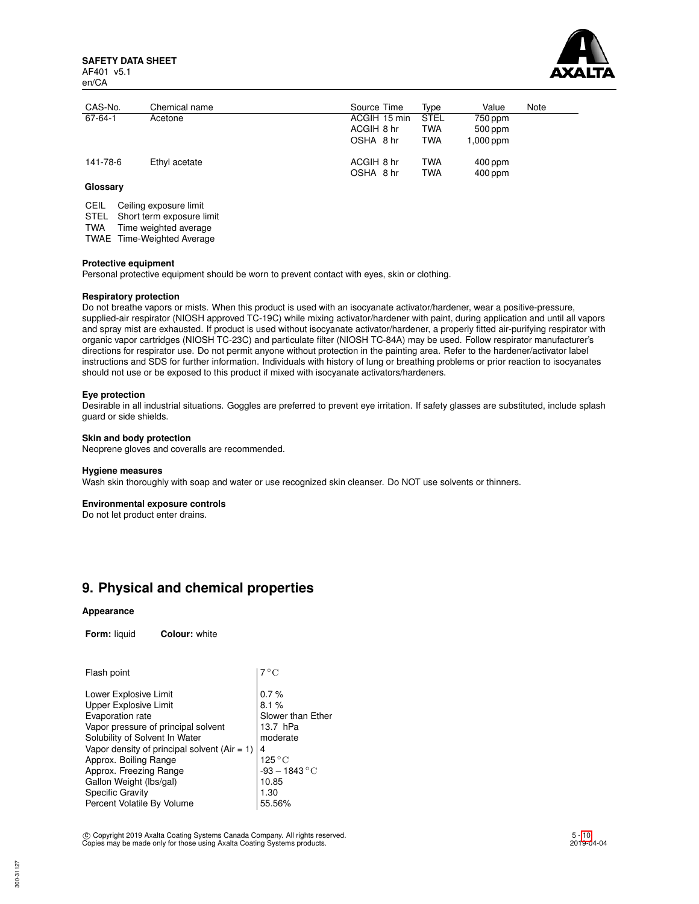**SAFETY DATA SHEET** AF401 v5.1 en/CA



| CAS-No.  | Chemical name | Source Time                             | Tvpe                             | Value                               | Note |
|----------|---------------|-----------------------------------------|----------------------------------|-------------------------------------|------|
| 67-64-1  | Acetone       | ACGIH 15 min<br>ACGIH 8 hr<br>OSHA 8 hr | <b>STEL</b><br>TWA<br><b>TWA</b> | 750 ppm<br>$500$ ppm<br>$1,000$ ppm |      |
| 141-78-6 | Ethyl acetate | ACGIH 8 hr<br>OSHA 8 hr                 | TWA<br>TWA                       | $400$ ppm<br>$400$ ppm              |      |

## **Glossary**

CEIL Ceiling exposure limit

STEL Short term exposure limit

TWA Time weighted average

TWAE Time-Weighted Average

#### **Protective equipment**

Personal protective equipment should be worn to prevent contact with eyes, skin or clothing.

### **Respiratory protection**

Do not breathe vapors or mists. When this product is used with an isocyanate activator/hardener, wear a positive-pressure, supplied-air respirator (NIOSH approved TC-19C) while mixing activator/hardener with paint, during application and until all vapors and spray mist are exhausted. If product is used without isocyanate activator/hardener, a properly fitted air-purifying respirator with organic vapor cartridges (NIOSH TC-23C) and particulate filter (NIOSH TC-84A) may be used. Follow respirator manufacturer's directions for respirator use. Do not permit anyone without protection in the painting area. Refer to the hardener/activator label instructions and SDS for further information. Individuals with history of lung or breathing problems or prior reaction to isocyanates should not use or be exposed to this product if mixed with isocyanate activators/hardeners.

#### **Eye protection**

Desirable in all industrial situations. Goggles are preferred to prevent eye irritation. If safety glasses are substituted, include splash guard or side shields.

## **Skin and body protection**

Neoprene gloves and coveralls are recommended.

#### **Hygiene measures**

Wash skin thoroughly with soap and water or use recognized skin cleanser. Do NOT use solvents or thinners.

#### **Environmental exposure controls**

Do not let product enter drains.

## **9. Physical and chemical properties**

#### **Appearance**

**Form:** liquid **Colour:** white

| 7 ° C                                                                                       |
|---------------------------------------------------------------------------------------------|
| 0.7%<br>8.1%<br>Slower than Ether<br>13.7 hPa<br>moderate<br>4<br>$125\,^{\circ}\mathrm{C}$ |
| $-93 - 1843 °C$<br>10.85<br>1.30<br>55.56%                                                  |
|                                                                                             |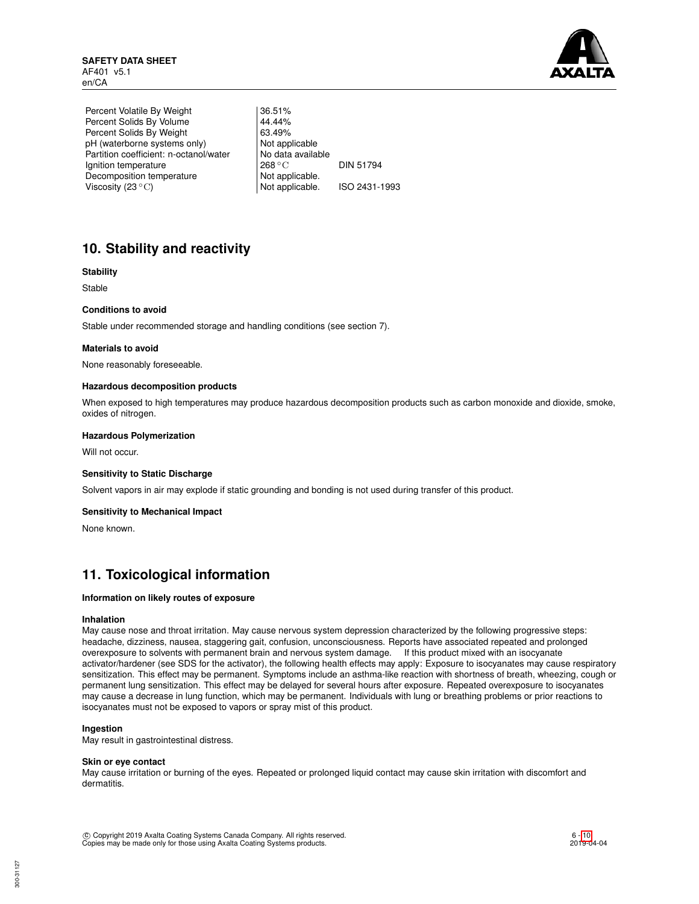

Percent Volatile By Weight | 36.51% Percent Solids By Volume 44.44%<br>Percent Solids By Weight 63.49% Percent Solids By Weight 63.49%<br>
pH (waterborne systems only) Not applicable pH (waterborne systems only) Partition coefficient: n-octanol/water | No data available Ignition temperature 268 °C DIN 51794 Decomposition temperature Not applicable.<br>Viscosity (23 °C) Not applicable. Viscosity (23 °C) Not applicable. ISO 2431-1993

# **10. Stability and reactivity**

## **Stability**

Stable

## **Conditions to avoid**

Stable under recommended storage and handling conditions (see section 7).

### **Materials to avoid**

None reasonably foreseeable.

### **Hazardous decomposition products**

When exposed to high temperatures may produce hazardous decomposition products such as carbon monoxide and dioxide, smoke, oxides of nitrogen.

#### **Hazardous Polymerization**

Will not occur.

## **Sensitivity to Static Discharge**

Solvent vapors in air may explode if static grounding and bonding is not used during transfer of this product.

## **Sensitivity to Mechanical Impact**

None known.

## **11. Toxicological information**

## **Information on likely routes of exposure**

#### **Inhalation**

May cause nose and throat irritation. May cause nervous system depression characterized by the following progressive steps: headache, dizziness, nausea, staggering gait, confusion, unconsciousness. Reports have associated repeated and prolonged overexposure to solvents with permanent brain and nervous system damage. If this product mixed with an isocyanate activator/hardener (see SDS for the activator), the following health effects may apply: Exposure to isocyanates may cause respiratory sensitization. This effect may be permanent. Symptoms include an asthma-like reaction with shortness of breath, wheezing, cough or permanent lung sensitization. This effect may be delayed for several hours after exposure. Repeated overexposure to isocyanates may cause a decrease in lung function, which may be permanent. Individuals with lung or breathing problems or prior reactions to isocyanates must not be exposed to vapors or spray mist of this product.

### **Ingestion**

May result in gastrointestinal distress.

#### **Skin or eye contact**

May cause irritation or burning of the eyes. Repeated or prolonged liquid contact may cause skin irritation with discomfort and dermatitis.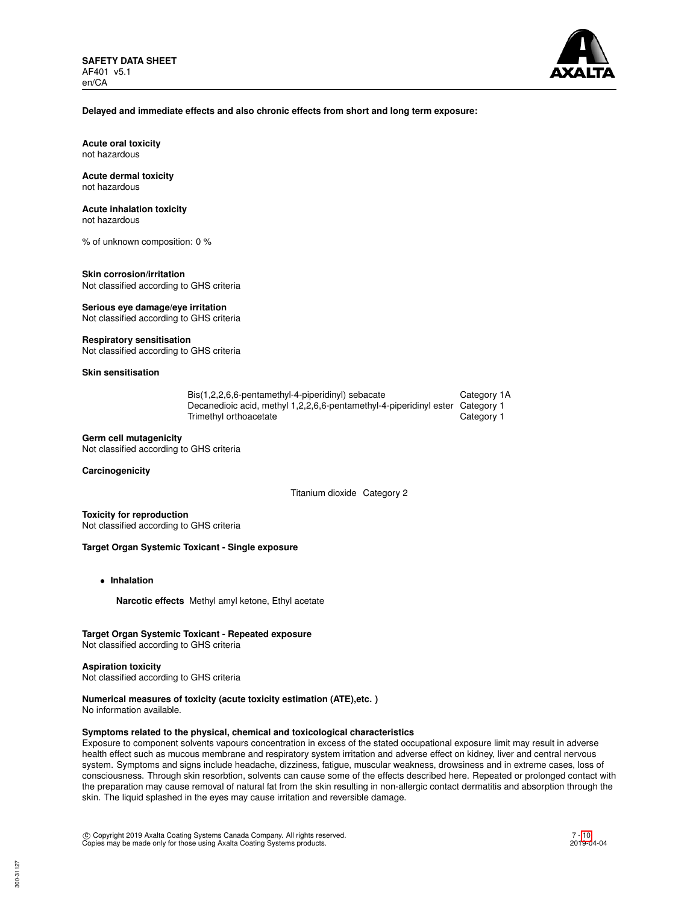

#### **Delayed and immediate effects and also chronic effects from short and long term exposure:**

**Acute oral toxicity** not hazardous

#### **Acute dermal toxicity** not hazardous

## **Acute inhalation toxicity**

not hazardous

% of unknown composition: 0 %

#### **Skin corrosion/irritation** Not classified according to GHS criteria

**Serious eye damage/eye irritation** Not classified according to GHS criteria

## **Respiratory sensitisation**

Not classified according to GHS criteria

## **Skin sensitisation**

| Bis(1,2,2,6,6-pentamethyl-4-piperidinyl) sebacate                             | Category 1A |
|-------------------------------------------------------------------------------|-------------|
| Decanedioic acid, methyl 1,2,2,6,6-pentamethyl-4-piperidinyl ester Category 1 |             |
| Trimethyl orthoacetate                                                        | Category 1  |

### **Germ cell mutagenicity**

Not classified according to GHS criteria

### **Carcinogenicity**

Titanium dioxide Category 2

**Toxicity for reproduction** Not classified according to GHS criteria

## **Target Organ Systemic Toxicant - Single exposure**

- **Inhalation**
	- **Narcotic effects** Methyl amyl ketone, Ethyl acetate

## **Target Organ Systemic Toxicant - Repeated exposure**

Not classified according to GHS criteria

#### **Aspiration toxicity**

Not classified according to GHS criteria

## **Numerical measures of toxicity (acute toxicity estimation (ATE),etc. )**

No information available.

## **Symptoms related to the physical, chemical and toxicological characteristics**

Exposure to component solvents vapours concentration in excess of the stated occupational exposure limit may result in adverse health effect such as mucous membrane and respiratory system irritation and adverse effect on kidney, liver and central nervous system. Symptoms and signs include headache, dizziness, fatigue, muscular weakness, drowsiness and in extreme cases, loss of consciousness. Through skin resorbtion, solvents can cause some of the effects described here. Repeated or prolonged contact with the preparation may cause removal of natural fat from the skin resulting in non-allergic contact dermatitis and absorption through the skin. The liquid splashed in the eyes may cause irritation and reversible damage.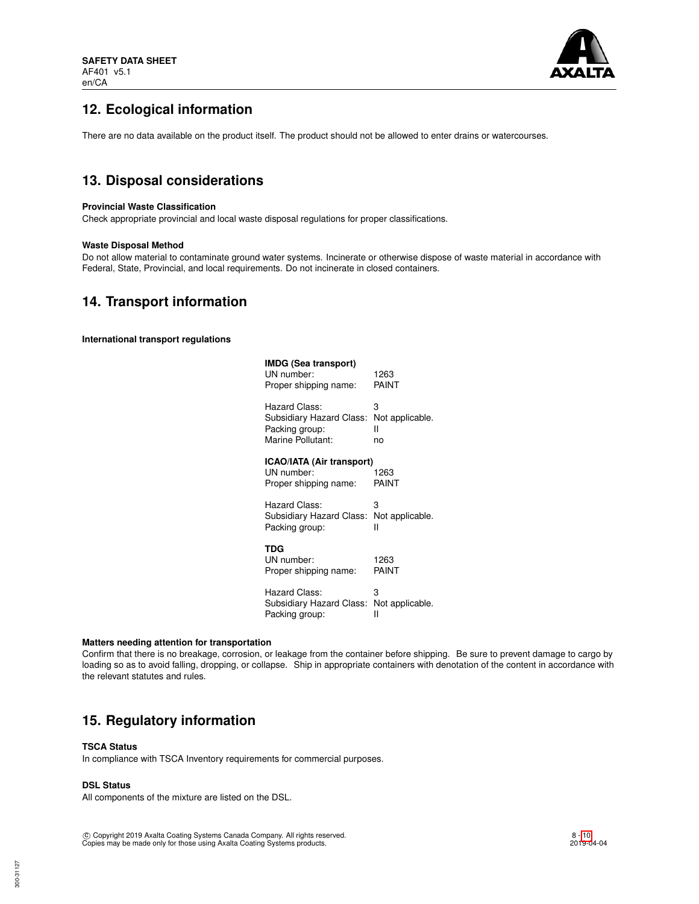

# **12. Ecological information**

There are no data available on the product itself. The product should not be allowed to enter drains or watercourses.

## **13. Disposal considerations**

### **Provincial Waste Classification**

Check appropriate provincial and local waste disposal regulations for proper classifications.

### **Waste Disposal Method**

Do not allow material to contaminate ground water systems. Incinerate or otherwise dispose of waste material in accordance with Federal, State, Provincial, and local requirements. Do not incinerate in closed containers.

## **14. Transport information**

**International transport regulations**

| IMDG (Sea transport)<br>UN number:<br>Proper shipping name:      | 1263<br>PAINT   |
|------------------------------------------------------------------|-----------------|
| Hazard Class:                                                    | 3               |
| Subsidiary Hazard Class:                                         | Not applicable. |
| Packing group:                                                   | н               |
| Marine Pollutant:                                                | no              |
| ICAO/IATA (Air transport)<br>UN number:<br>Proper shipping name: | 1263<br>PAINT   |
| Hazard Class:                                                    | 3               |
| Subsidiary Hazard Class:                                         | Not applicable. |
| Packing group:                                                   | н               |
| TDG<br>UN number:<br>Proper shipping name:                       | 1263<br>PAINT   |
| Hazard Class:                                                    | 3               |
| Subsidiary Hazard Class:                                         | Not applicable. |
| Packing group:                                                   | н               |

#### **Matters needing attention for transportation**

Confirm that there is no breakage, corrosion, or leakage from the container before shipping. Be sure to prevent damage to cargo by loading so as to avoid falling, dropping, or collapse. Ship in appropriate containers with denotation of the content in accordance with the relevant statutes and rules.

## **15. Regulatory information**

### **TSCA Status**

In compliance with TSCA Inventory requirements for commercial purposes.

## **DSL Status**

All components of the mixture are listed on the DSL.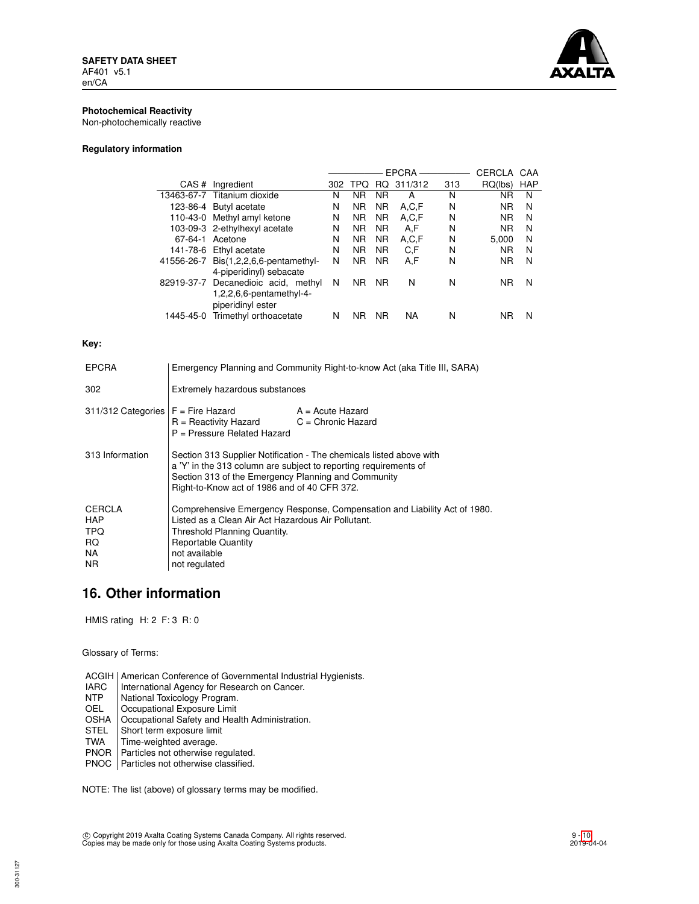

## **Photochemical Reactivity**

Non-photochemically reactive

## **Regulatory information**

|            |                                     |     |                |           | <b>EPCRA</b> |     | CERCLA    | CAA |
|------------|-------------------------------------|-----|----------------|-----------|--------------|-----|-----------|-----|
| CAS#       | Ingredient                          | 302 | <b>TPQ</b>     | RQ.       | 311/312      | 313 | RQ(lbs)   | HAP |
|            | 13463-67-7 Titanium dioxide         | N   | ΝR             | <b>NR</b> | А            | N   | ΝR        | N   |
|            | 123-86-4 Butyl acetate              | N   | <b>NR</b>      | <b>NR</b> | A.C.F        | N   | <b>NR</b> | N   |
|            | 110-43-0 Methyl amyl ketone         | N   | <b>NR</b>      | <b>NR</b> | A,C,F        | N   | <b>NR</b> | N   |
|            | 103-09-3 2-ethylhexyl acetate       | N   | <b>NR</b>      | <b>NR</b> | A,F          | N   | <b>NR</b> | N   |
| 67-64-1    | Acetone                             | Ν   | N <sub>R</sub> | <b>NR</b> | A,C,F        | N   | 5.000     | N   |
| 141-78-6   | Ethyl acetate                       | N   | N <sub>R</sub> | <b>NR</b> | C.F          | N   | <b>NR</b> | N   |
| 41556-26-7 | $Dis(1,2,2,6,6$ -pentamethyl-       | Ν   | <b>NR</b>      | <b>NR</b> | A,F          | N   | <b>NR</b> | N   |
|            | 4-piperidinyl) sebacate             |     |                |           |              |     |           |     |
|            | 82919-37-7 Decanedioic acid, methyl | N   | <b>NR</b>      | <b>NR</b> | N            | N   | ΝR        | N   |
|            | $1,2,2,6,6$ -pentamethyl-4-         |     |                |           |              |     |           |     |
|            | piperidinyl ester                   |     |                |           |              |     |           |     |
| 1445-45-0  | Trimethyl orthoacetate              | N   | ΝR             | <b>NR</b> | NA           | N   | ΝR        | N   |
|            |                                     |     |                |           |              |     |           |     |

## **Key:**

| <b>EPCRA</b>                                             | Emergency Planning and Community Right-to-know Act (aka Title III, SARA)                                                                                                                                                                       |                    |  |
|----------------------------------------------------------|------------------------------------------------------------------------------------------------------------------------------------------------------------------------------------------------------------------------------------------------|--------------------|--|
| 302                                                      | Extremely hazardous substances                                                                                                                                                                                                                 |                    |  |
| $311/312$ Categories $F =$ Fire Hazard                   | $R =$ Reactivity Hazard $C =$ Chronic Hazard<br>P = Pressure Related Hazard                                                                                                                                                                    | $A = Acute$ Hazard |  |
| 313 Information                                          | Section 313 Supplier Notification - The chemicals listed above with<br>a 'Y' in the 313 column are subject to reporting requirements of<br>Section 313 of the Emergency Planning and Community<br>Right-to-Know act of 1986 and of 40 CFR 372. |                    |  |
| <b>CERCLA</b><br><b>HAP</b><br>TPQ.<br>RQ.<br>NA.<br>NR. | Comprehensive Emergency Response, Compensation and Liability Act of 1980.<br>Listed as a Clean Air Act Hazardous Air Pollutant.<br>Threshold Planning Quantity.<br><b>Reportable Quantity</b><br>not available<br>not regulated                |                    |  |

## **16. Other information**

HMIS rating H: 2 F: 3 R: 0

Glossary of Terms:

- ACGIH | American Conference of Governmental Industrial Hygienists.<br>
IARC | International Agency for Research on Cancer.
- IARC | International Agency for Research on Cancer.<br>
NTP | National Toxicology Program.
- NTP National Toxicology Program.<br>OEL Cocupational Exposure Limit
- Occupational Exposure Limit
- OSHA | Occupational Safety and Health Administration.<br>STEL | Short term exposure limit
- STEL Short term exposure limit<br>TWA Time-weighted average.
- Time-weighted average.
- PNOR | Particles not otherwise regulated.
- PNOC Particles not otherwise classified.

NOTE: The list (above) of glossary terms may be modified.